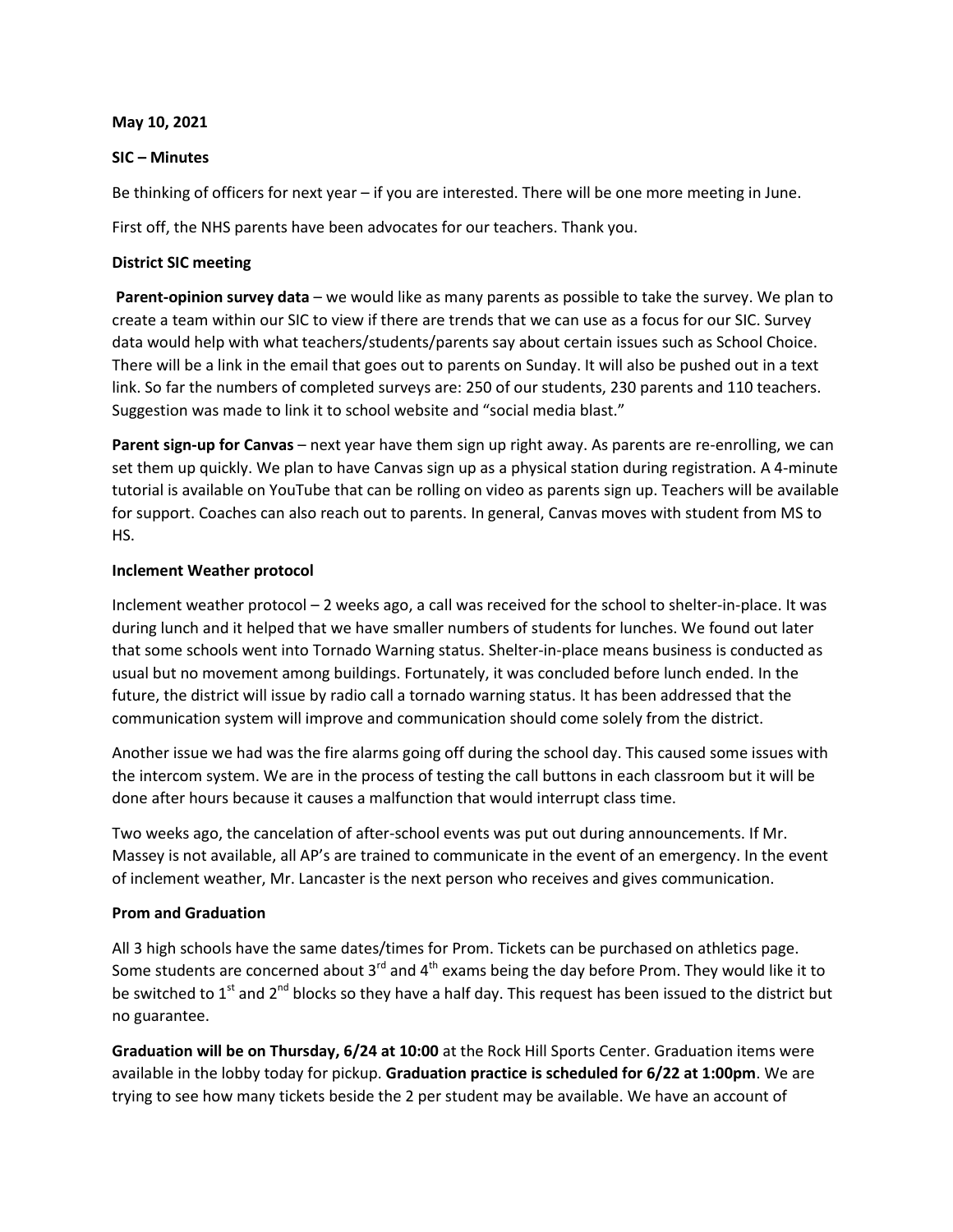#### **May 10, 2021**

### **SIC – Minutes**

Be thinking of officers for next year – if you are interested. There will be one more meeting in June.

First off, the NHS parents have been advocates for our teachers. Thank you.

## **District SIC meeting**

**Parent-opinion survey data** – we would like as many parents as possible to take the survey. We plan to create a team within our SIC to view if there are trends that we can use as a focus for our SIC. Survey data would help with what teachers/students/parents say about certain issues such as School Choice. There will be a link in the email that goes out to parents on Sunday. It will also be pushed out in a text link. So far the numbers of completed surveys are: 250 of our students, 230 parents and 110 teachers. Suggestion was made to link it to school website and "social media blast."

**Parent sign-up for Canvas** – next year have them sign up right away. As parents are re-enrolling, we can set them up quickly. We plan to have Canvas sign up as a physical station during registration. A 4-minute tutorial is available on YouTube that can be rolling on video as parents sign up. Teachers will be available for support. Coaches can also reach out to parents. In general, Canvas moves with student from MS to HS.

# **Inclement Weather protocol**

Inclement weather protocol – 2 weeks ago, a call was received for the school to shelter-in-place. It was during lunch and it helped that we have smaller numbers of students for lunches. We found out later that some schools went into Tornado Warning status. Shelter-in-place means business is conducted as usual but no movement among buildings. Fortunately, it was concluded before lunch ended. In the future, the district will issue by radio call a tornado warning status. It has been addressed that the communication system will improve and communication should come solely from the district.

Another issue we had was the fire alarms going off during the school day. This caused some issues with the intercom system. We are in the process of testing the call buttons in each classroom but it will be done after hours because it causes a malfunction that would interrupt class time.

Two weeks ago, the cancelation of after-school events was put out during announcements. If Mr. Massey is not available, all AP's are trained to communicate in the event of an emergency. In the event of inclement weather, Mr. Lancaster is the next person who receives and gives communication.

### **Prom and Graduation**

All 3 high schools have the same dates/times for Prom. Tickets can be purchased on athletics page. Some students are concerned about  $3^{rd}$  and  $4^{th}$  exams being the day before Prom. They would like it to be switched to  $1<sup>st</sup>$  and  $2<sup>nd</sup>$  blocks so they have a half day. This request has been issued to the district but no guarantee.

**Graduation will be on Thursday, 6/24 at 10:00** at the Rock Hill Sports Center. Graduation items were available in the lobby today for pickup. **Graduation practice is scheduled for 6/22 at 1:00pm**. We are trying to see how many tickets beside the 2 per student may be available. We have an account of